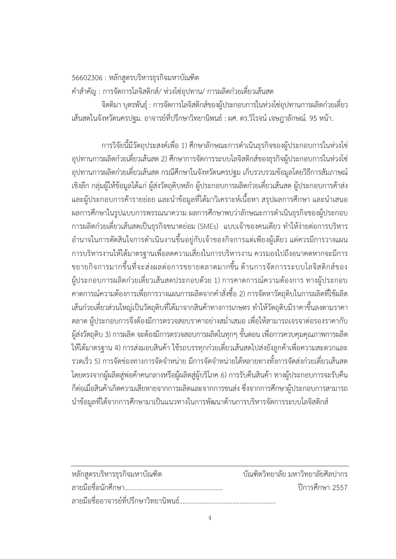56602306 : หลักสูตรบริหารธุรกิจมหาบัณฑิต

้คำสำคัญ : การจัดการโลจิสติกส์/ ห่วงโซ่อุปทาน/ การผลิตก๋วยเตี๋ยวเส้นสด

้จิตติมา บุตรพันธุ์ : การจัดการโลจิสติกส์ของผู้ประกอบการในห่วงโซ่อุปทานการผลิตก๋วยเตี๋ยว เส้นสดในจังหวัดนครปฐม. อาจารย์ที่ปรึกษาวิทยานิพนธ์ : ผศ. ดร.วิโรจน์ เจษฎาลักษณ์. 95 หน้า.

การวิจัยนี้มีวัตถุประสงค์เพื่อ 1) ศึกษาลักษณะการดำเนินธุรกิจของผู้ประกอบการในห่วงโซ่ ้อุปทานการผลิตก๋วยเตี๋ยวเส้นสด 2) ศึกษาการจัดการระบบโลจิสติกส์ของธุรกิจผู้ประกอบการในห่วงโซ่ ้อุปทานการผลิตก๋วยเตี๋ยวเส้นสด กรณีศึกษาในจังหวัดนครปฐม เก็บรวบรวมข้อมูลโดยวิธีการสัมภาษณ์ เชิงลึก กลุ่มผู้ให้ข้อมูลได้แก่ ผู้ส่งวัตถุดิบหลัก ผู้ประกอบการผลิตก๋วยเตี๋ยวเส้นสด ผู้ประกอบการค้าส่ง และผู้ประกอบการค้ารายย่อย และนำข้อมูลที่ได้มาวิเคราะห์เนื้อหา สรุปผลการศึกษา และนำเสนอ ผลการศึกษาในรูปแบบการพรรณนาความ ผลการศึกษาพบว่าลักษณะการดำเนินธุรกิจของผู้ประกอบ การผลิตก๋วยเตี๋ยวเส้นสดเป็นธุรกิจขนาดย่อม (SMEs) แบบเจ้าของคนเดียว ทำให้ง่ายต่อการบริหาร ้อำนาจในการตัดสินใจการดำเนินงานขึ้นอยู่กับเจ้าของกิจการแต่เพียงผู้เดียว แต่ควรมีการวางแผน การบริหารงานให้ได้มาตรฐานเพื่อลดความเสี่ยงในการบริหารงาน ควรมองไปถึงอนาคตหากจะมีการ ีขยายกิจการมากขึ้นที่จะส่งผลต่อการขยายตลาดมากขึ้น ด้านการจัดการระบบโลจิสติกส์ของ ผู้ประกอบการผลิตก๋วยเตี๋ยวเส้นสดประกอบด้วย 1) การคาดการณ์ความต้องการ ทางผู้ประกอบ ิ คาดการณ์ความต้องการเพื่อการวางแผนการผลิตจากคำสั่งซื้อ 2) การจัดหาวัตถุดิบในการผลิตที่ใช้ผลิต ้เส้นก๋วยเตี๋ยวส่วนใหญ่เป็นวัตถุดิบที่ได้มาจากสินค้าทางการเกษตร ทำให้วัตถุดิบมีราคาขึ้นลงตามราคา ้ตลาด ผู้ประกอบการจึงต้องมีการตรวจสอบราคาอย่างสม่ำเสมอ เพื่อให้สามารถเจรจาต่อรองราคากับ ผู้ส่งวัตถุดิบ 3) การผลิต จะต้องมีการตรวจสอบการผลิตในทุกๆ ขั้นตอน เพื่อการควบคุมคุณภาพการผลิต ให้ได้มาตรฐาน 4) การส่งมอบสินค้า ใช้รถบรรทกก๋วยเตี๋ยวเส้นสดไปส่งยังลกค้าเพื่อความสะดวกและ ี รวดเร็ว 5) การจัดช่องทางการจัดจำหน่าย มีการจัดจำหน่ายได้หลายทางทั้งการจัดส่งก๋วยเตี๋ยวเส้นสด โดยตรงจากผู้ผลิตสู่พ่อค้าคนกลางหรือผู้ผลิตสู่ผู้บริโภค 6) การรับคืนสินค้า ทางผู้ประกอบการจะรับคืน ้ก็ต่อเมื่อสินค้าเกิดความเสียหายจากการผลิตและจากการขนส่ง ซึ่งจากการศึกษาผู้ประกอบการสามารถ ้ นำข้อมูลที่ได้จากการศึกษามาเป็นแนวทางในการพัฒนาด้านการบริหารจัดการระบบโลจิสติกส์

| หลักสูตรบริหารธุรกิจมหาบัณฑิต | ้ บัณฑิตวิทยาลัย มหาวิทยาลัยศิลปากร |
|-------------------------------|-------------------------------------|
|                               | ์ ปีการศึกษา 2557                   |
|                               |                                     |